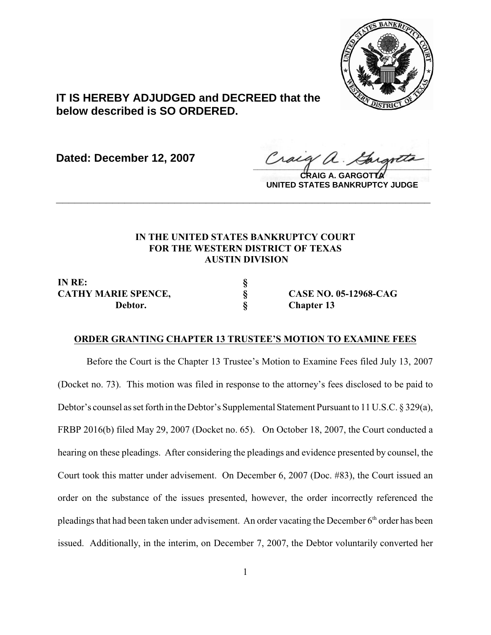

# **IT IS HEREBY ADJUDGED and DECREED that the below described is SO ORDERED.**

**Dated: December 12, 2007**

Craeg a. Cargotta

**CRAIG A. GARGOTTA UNITED STATES BANKRUPTCY JUDGE**

## **IN THE UNITED STATES BANKRUPTCY COURT FOR THE WESTERN DISTRICT OF TEXAS AUSTIN DIVISION**

**\_\_\_\_\_\_\_\_\_\_\_\_\_\_\_\_\_\_\_\_\_\_\_\_\_\_\_\_\_\_\_\_\_\_\_\_\_\_\_\_\_\_\_\_\_\_\_\_\_\_\_\_\_\_\_\_\_\_\_\_**

**IN RE: § Debtor. § Chapter 13**

**CATHY MARIE SPENCE, § CASE NO. 05-12968-CAG**

#### **ORDER GRANTING CHAPTER 13 TRUSTEE'S MOTION TO EXAMINE FEES**

Before the Court is the Chapter 13 Trustee's Motion to Examine Fees filed July 13, 2007 (Docket no. 73). This motion was filed in response to the attorney's fees disclosed to be paid to Debtor's counsel as set forth in the Debtor's Supplemental Statement Pursuant to 11 U.S.C. § 329(a), FRBP 2016(b) filed May 29, 2007 (Docket no. 65). On October 18, 2007, the Court conducted a hearing on these pleadings. After considering the pleadings and evidence presented by counsel, the Court took this matter under advisement. On December 6, 2007 (Doc. #83), the Court issued an order on the substance of the issues presented, however, the order incorrectly referenced the pleadings that had been taken under advisement. An order vacating the December  $6<sup>th</sup>$  order has been issued. Additionally, in the interim, on December 7, 2007, the Debtor voluntarily converted her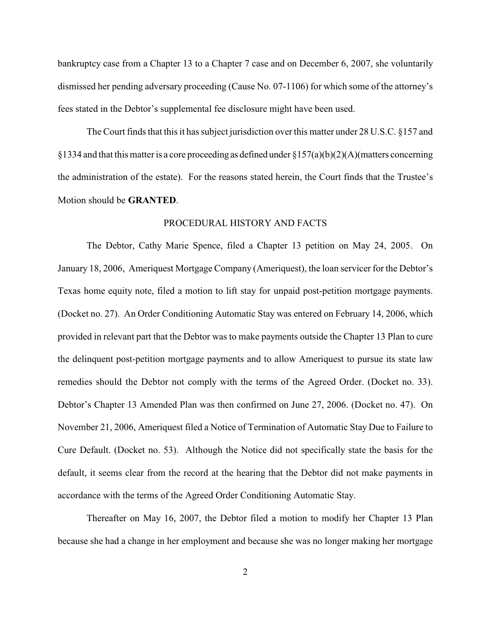bankruptcy case from a Chapter 13 to a Chapter 7 case and on December 6, 2007, she voluntarily dismissed her pending adversary proceeding (Cause No. 07-1106) for which some of the attorney's fees stated in the Debtor's supplemental fee disclosure might have been used.

The Court finds that this it has subject jurisdiction over this matter under 28 U.S.C. §157 and §1334 and that this matter is a core proceeding as defined under §157(a)(b)(2)(A)(matters concerning the administration of the estate). For the reasons stated herein, the Court finds that the Trustee's Motion should be **GRANTED**.

#### PROCEDURAL HISTORY AND FACTS

The Debtor, Cathy Marie Spence, filed a Chapter 13 petition on May 24, 2005. On January 18, 2006, Ameriquest Mortgage Company (Ameriquest), the loan servicer for the Debtor's Texas home equity note, filed a motion to lift stay for unpaid post-petition mortgage payments. (Docket no. 27). An Order Conditioning Automatic Stay was entered on February 14, 2006, which provided in relevant part that the Debtor was to make payments outside the Chapter 13 Plan to cure the delinquent post-petition mortgage payments and to allow Ameriquest to pursue its state law remedies should the Debtor not comply with the terms of the Agreed Order. (Docket no. 33). Debtor's Chapter 13 Amended Plan was then confirmed on June 27, 2006. (Docket no. 47). On November 21, 2006, Ameriquest filed a Notice of Termination of Automatic Stay Due to Failure to Cure Default. (Docket no. 53). Although the Notice did not specifically state the basis for the default, it seems clear from the record at the hearing that the Debtor did not make payments in accordance with the terms of the Agreed Order Conditioning Automatic Stay.

Thereafter on May 16, 2007, the Debtor filed a motion to modify her Chapter 13 Plan because she had a change in her employment and because she was no longer making her mortgage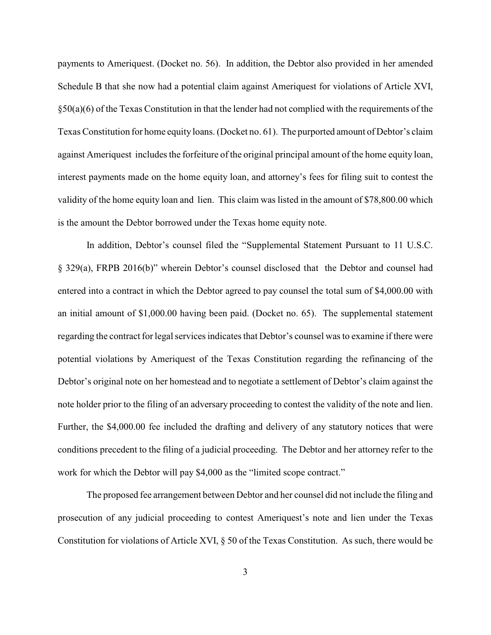payments to Ameriquest. (Docket no. 56). In addition, the Debtor also provided in her amended Schedule B that she now had a potential claim against Ameriquest for violations of Article XVI,  $§50(a)(6)$  of the Texas Constitution in that the lender had not complied with the requirements of the Texas Constitution for home equity loans. (Docket no. 61). The purported amount of Debtor's claim against Ameriquest includes the forfeiture of the original principal amount of the home equity loan, interest payments made on the home equity loan, and attorney's fees for filing suit to contest the validity of the home equity loan and lien. This claim was listed in the amount of \$78,800.00 which is the amount the Debtor borrowed under the Texas home equity note.

In addition, Debtor's counsel filed the "Supplemental Statement Pursuant to 11 U.S.C. § 329(a), FRPB 2016(b)" wherein Debtor's counsel disclosed that the Debtor and counsel had entered into a contract in which the Debtor agreed to pay counsel the total sum of \$4,000.00 with an initial amount of \$1,000.00 having been paid. (Docket no. 65). The supplemental statement regarding the contract for legal services indicates that Debtor's counsel was to examine if there were potential violations by Ameriquest of the Texas Constitution regarding the refinancing of the Debtor's original note on her homestead and to negotiate a settlement of Debtor's claim against the note holder prior to the filing of an adversary proceeding to contest the validity of the note and lien. Further, the \$4,000.00 fee included the drafting and delivery of any statutory notices that were conditions precedent to the filing of a judicial proceeding. The Debtor and her attorney refer to the work for which the Debtor will pay \$4,000 as the "limited scope contract."

The proposed fee arrangement between Debtor and her counsel did not include the filing and prosecution of any judicial proceeding to contest Ameriquest's note and lien under the Texas Constitution for violations of Article XVI, § 50 of the Texas Constitution. As such, there would be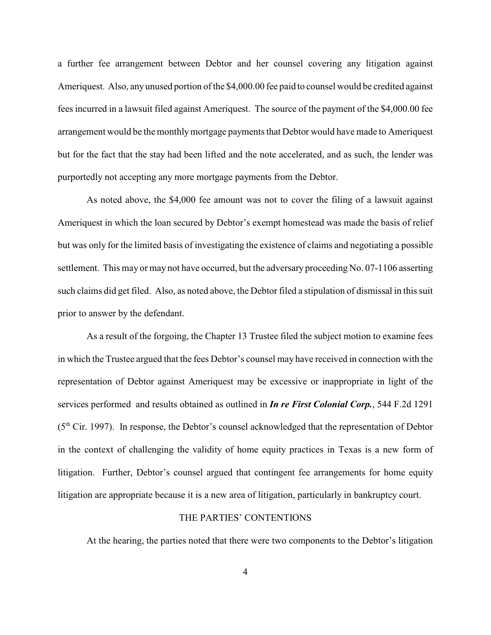a further fee arrangement between Debtor and her counsel covering any litigation against Ameriquest. Also, any unused portion of the \$4,000.00 fee paid to counsel would be credited against fees incurred in a lawsuit filed against Ameriquest. The source of the payment of the \$4,000.00 fee arrangement would be the monthly mortgage payments that Debtor would have made to Ameriquest but for the fact that the stay had been lifted and the note accelerated, and as such, the lender was purportedly not accepting any more mortgage payments from the Debtor.

As noted above, the \$4,000 fee amount was not to cover the filing of a lawsuit against Ameriquest in which the loan secured by Debtor's exempt homestead was made the basis of relief but was only for the limited basis of investigating the existence of claims and negotiating a possible settlement. This may or may not have occurred, but the adversary proceeding No. 07-1106 asserting such claims did get filed. Also, as noted above, the Debtor filed a stipulation of dismissal in this suit prior to answer by the defendant.

As a result of the forgoing, the Chapter 13 Trustee filed the subject motion to examine fees in which the Trustee argued that the fees Debtor's counsel may have received in connection with the representation of Debtor against Ameriquest may be excessive or inappropriate in light of the services performed and results obtained as outlined in *In re First Colonial Corp.*, 544 F.2d 1291  $(5<sup>th</sup> Cir. 1997)$ . In response, the Debtor's counsel acknowledged that the representation of Debtor in the context of challenging the validity of home equity practices in Texas is a new form of litigation. Further, Debtor's counsel argued that contingent fee arrangements for home equity litigation are appropriate because it is a new area of litigation, particularly in bankruptcy court.

#### THE PARTIES' CONTENTIONS

At the hearing, the parties noted that there were two components to the Debtor's litigation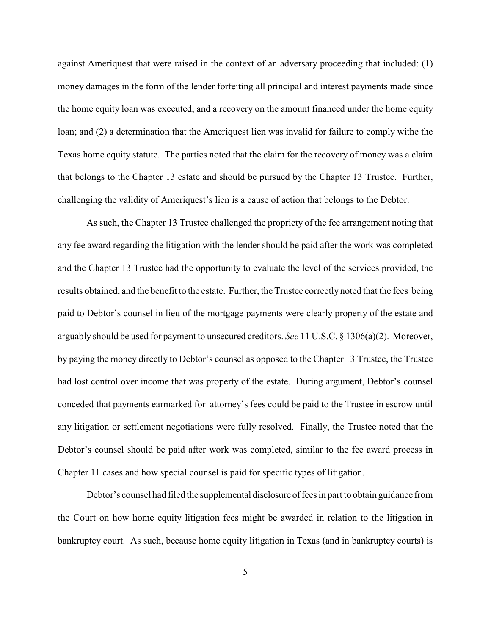against Ameriquest that were raised in the context of an adversary proceeding that included: (1) money damages in the form of the lender forfeiting all principal and interest payments made since the home equity loan was executed, and a recovery on the amount financed under the home equity loan; and (2) a determination that the Ameriquest lien was invalid for failure to comply withe the Texas home equity statute. The parties noted that the claim for the recovery of money was a claim that belongs to the Chapter 13 estate and should be pursued by the Chapter 13 Trustee. Further, challenging the validity of Ameriquest's lien is a cause of action that belongs to the Debtor.

As such, the Chapter 13 Trustee challenged the propriety of the fee arrangement noting that any fee award regarding the litigation with the lender should be paid after the work was completed and the Chapter 13 Trustee had the opportunity to evaluate the level of the services provided, the results obtained, and the benefit to the estate. Further, the Trustee correctly noted that the fees being paid to Debtor's counsel in lieu of the mortgage payments were clearly property of the estate and arguably should be used for payment to unsecured creditors. *See* 11 U.S.C. § 1306(a)(2). Moreover, by paying the money directly to Debtor's counsel as opposed to the Chapter 13 Trustee, the Trustee had lost control over income that was property of the estate. During argument, Debtor's counsel conceded that payments earmarked for attorney's fees could be paid to the Trustee in escrow until any litigation or settlement negotiations were fully resolved. Finally, the Trustee noted that the Debtor's counsel should be paid after work was completed, similar to the fee award process in Chapter 11 cases and how special counsel is paid for specific types of litigation.

Debtor's counsel had filed the supplemental disclosure of fees in part to obtain guidance from the Court on how home equity litigation fees might be awarded in relation to the litigation in bankruptcy court. As such, because home equity litigation in Texas (and in bankruptcy courts) is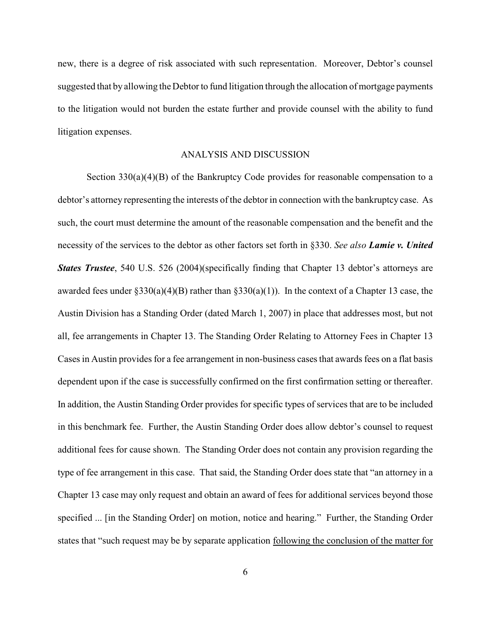new, there is a degree of risk associated with such representation. Moreover, Debtor's counsel suggested that by allowing the Debtor to fund litigation through the allocation of mortgage payments to the litigation would not burden the estate further and provide counsel with the ability to fund litigation expenses.

#### ANALYSIS AND DISCUSSION

Section  $330(a)(4)(B)$  of the Bankruptcy Code provides for reasonable compensation to a debtor's attorney representing the interests of the debtor in connection with the bankruptcy case. As such, the court must determine the amount of the reasonable compensation and the benefit and the necessity of the services to the debtor as other factors set forth in §330. *See also Lamie v. United States Trustee*, 540 U.S. 526 (2004)(specifically finding that Chapter 13 debtor's attorneys are awarded fees under  $\S 330(a)(4)(B)$  rather than  $\S 330(a)(1)$ ). In the context of a Chapter 13 case, the Austin Division has a Standing Order (dated March 1, 2007) in place that addresses most, but not all, fee arrangements in Chapter 13. The Standing Order Relating to Attorney Fees in Chapter 13 Cases in Austin provides for a fee arrangement in non-business cases that awards fees on a flat basis dependent upon if the case is successfully confirmed on the first confirmation setting or thereafter. In addition, the Austin Standing Order provides for specific types of services that are to be included in this benchmark fee. Further, the Austin Standing Order does allow debtor's counsel to request additional fees for cause shown. The Standing Order does not contain any provision regarding the type of fee arrangement in this case. That said, the Standing Order does state that "an attorney in a Chapter 13 case may only request and obtain an award of fees for additional services beyond those specified ... [in the Standing Order] on motion, notice and hearing." Further, the Standing Order states that "such request may be by separate application following the conclusion of the matter for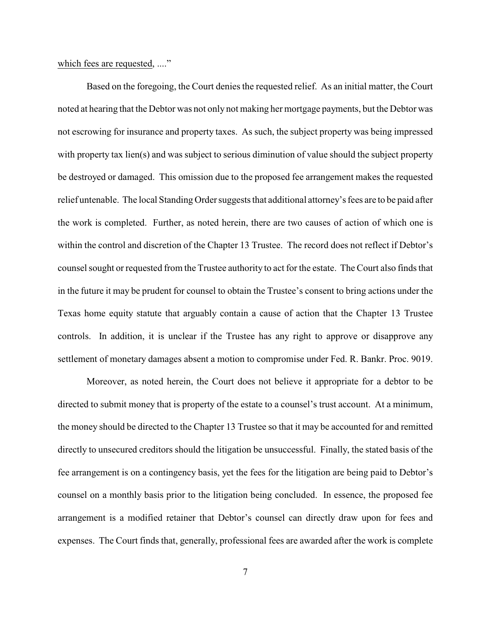which fees are requested, ...."

Based on the foregoing, the Court denies the requested relief. As an initial matter, the Court noted at hearing that the Debtor was not only not making her mortgage payments, but the Debtor was not escrowing for insurance and property taxes. As such, the subject property was being impressed with property tax lien(s) and was subject to serious diminution of value should the subject property be destroyed or damaged. This omission due to the proposed fee arrangement makes the requested relief untenable. The local Standing Order suggests that additional attorney's fees are to be paid after the work is completed. Further, as noted herein, there are two causes of action of which one is within the control and discretion of the Chapter 13 Trustee. The record does not reflect if Debtor's counsel sought or requested from the Trustee authority to act for the estate. The Court also finds that in the future it may be prudent for counsel to obtain the Trustee's consent to bring actions under the Texas home equity statute that arguably contain a cause of action that the Chapter 13 Trustee controls. In addition, it is unclear if the Trustee has any right to approve or disapprove any settlement of monetary damages absent a motion to compromise under Fed. R. Bankr. Proc. 9019.

Moreover, as noted herein, the Court does not believe it appropriate for a debtor to be directed to submit money that is property of the estate to a counsel's trust account. At a minimum, the money should be directed to the Chapter 13 Trustee so that it may be accounted for and remitted directly to unsecured creditors should the litigation be unsuccessful. Finally, the stated basis of the fee arrangement is on a contingency basis, yet the fees for the litigation are being paid to Debtor's counsel on a monthly basis prior to the litigation being concluded. In essence, the proposed fee arrangement is a modified retainer that Debtor's counsel can directly draw upon for fees and expenses. The Court finds that, generally, professional fees are awarded after the work is complete